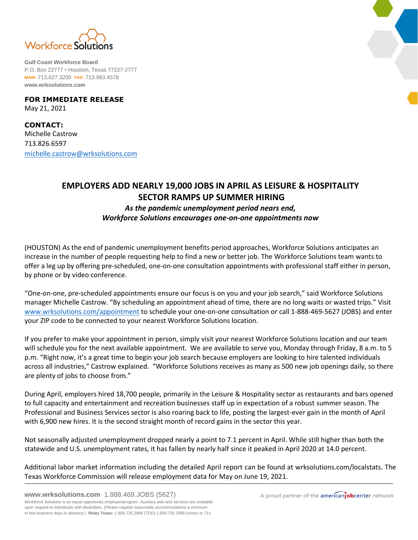

**Gulf Coast Workforce Board** P.O. Box 22777 • Houston, Texas 77227-2777 **MAIN:** 713.627.3200 **FAX:** 713.993.4578 **www.wrksolutions.com**

**FOR IMMEDIATE RELEASE** May 21, 2021

**CONTACT:** Michelle Castrow 713.826.6597 [michelle.castrow@wrksolutions.com](mailto:michelle.castrow@wrksolutions.com)

## **EMPLOYERS ADD NEARLY 19,000 JOBS IN APRIL AS LEISURE & HOSPITALITY SECTOR RAMPS UP SUMMER HIRING**  *As the pandemic unemployment period nears end,*

## *Workforce Solutions encourages one-on-one appointments now*

(HOUSTON) As the end of pandemic unemployment benefits period approaches, Workforce Solutions anticipates an increase in the number of people requesting help to find a new or better job. The Workforce Solutions team wants to offer a leg up by offering pre-scheduled, one-on-one consultation appointments with professional staff either in person, by phone or by video conference.

"One-on-one, pre-scheduled appointments ensure our focus is on you and your job search," said Workforce Solutions manager Michelle Castrow. "By scheduling an appointment ahead of time, there are no long waits or wasted trips." Visit [www.wrksolutions.com/appointment](http://www.wrksolutions.com/appointment) to schedule your one-on-one consultation or call 1-888-469-5627 (JOBS) and enter your ZIP code to be connected to your nearest Workforce Solutions location.

If you prefer to make your appointment in person, simply visit your nearest Workforce Solutions location and our team will schedule you for the next available appointment. We are available to serve you, Monday through Friday, 8 a.m. to 5 p.m. "Right now, it's a great time to begin your job search because employers are looking to hire talented individuals across all industries," Castrow explained. "Workforce Solutions receives as many as 500 new job openings daily, so there are plenty of jobs to choose from."

During April, employers hired 18,700 people, primarily in the Leisure & Hospitality sector as restaurants and bars opened to full capacity and entertainment and recreation businesses staff up in expectation of a robust summer season. The Professional and Business Services sector is also roaring back to life, posting the largest-ever gain in the month of April with 6,900 new hires. It is the second straight month of record gains in the sector this year.

Not seasonally adjusted unemployment dropped nearly a point to 7.1 percent in April. While still higher than both the statewide and U.S. unemployment rates, it has fallen by nearly half since it peaked in April 2020 at 14.0 percent.

Additional labor market information including the detailed April report can be found at wrksolutions.com/localstats. The Texas Workforce Commission will release employment data for May on June 19, 2021.